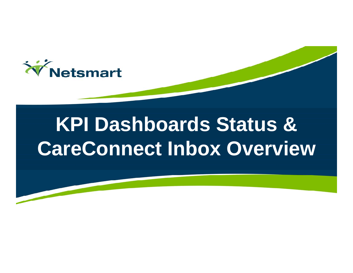

# **KPI Dashboards Status & CareConnect Inbox Overview**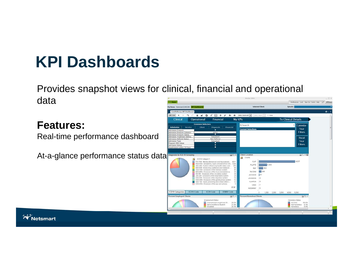# **KPI Dashboards**

Provides snapshot views for clinical, financial and operational data

**Features:**

Real-time performance dashboard

At-a-glance performance status data



**W**Netsmart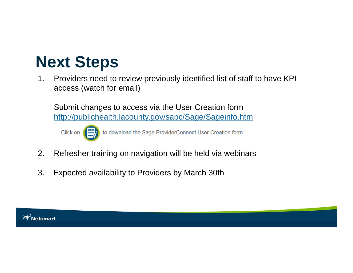### **Next Steps**

1. Providers need to review previously identified list of staff to have KPI access (watch for email)

Submit changes to access via the User Creation form http://publichealth.lacounty.gov/sapc/Sage/Sageinfo.htm



to download the Sage ProviderConnect User Creation form

- 2. Refresher training on navigation will be held via webinars
- 3. Expected availability to Providers by March 30th

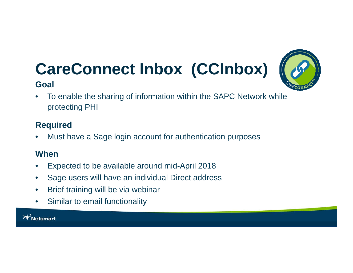# **CareConnect Inbox (CCInbox)**





 $\bullet$  To enable the sharing of information within the SAPC Network while protecting PHI

### **Required**

 $\bullet$ Must have a Sage login account for authentication purposes

### **When**

- •Expected to be available around mid-April 2018
- $\bullet$ Sage users will have an individual Direct address
- $\bullet$ Brief training will be via webinar
- $\bullet$ Similar to email functionality

**W** Netsmart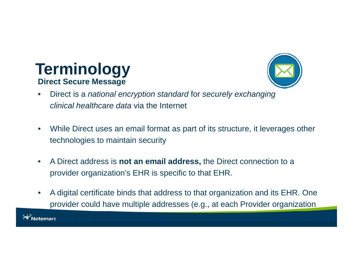### **Terminology Direct Secure Message**



- $\bullet$  Direct is a *national encryption standard* for *securely exchanging clinical healthcare data* via the Internet
- $\bullet$  While Direct uses an email format as part of its structure, it leverages other technologies to maintain security
- $\bullet$  A Direct address is **not an email address,** the Direct connection to a provider organization's EHR is specific to that EHR.
- $\bullet$  A digital certificate binds that address to that organization and its EHR. One provider could have multiple addresses (e.g., at each Provider organization

where she/he may work )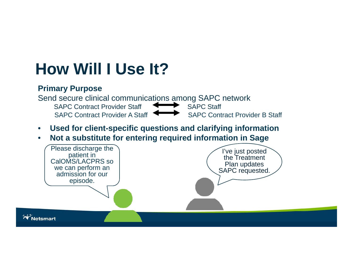### **How Will I Use It?**

#### **Primary Purpose**



- $\bullet$ **Used for client-specific questions and clarifying information**
- $\bullet$ **Not a substitute for entering required information in Sage**

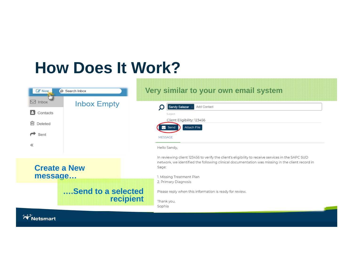### **How Does It Work?**

| O Search Inbox<br>$\mathbb{Z}$ New,<br>$\boxdot$ Inbox<br><b>Inbox Empty</b><br>в<br>Contacts<br>ग्गि<br>Deleted<br><i>←</i><br>Sent<br>《 | Very similar to your own email system<br>Add Contact<br>Sandy Salazar<br>Subject:<br>Client Eligibility: 123456<br>Attach File<br>Send<br>◡<br><b>MESSAGE</b>                                                                                                                                                                                 |
|-------------------------------------------------------------------------------------------------------------------------------------------|-----------------------------------------------------------------------------------------------------------------------------------------------------------------------------------------------------------------------------------------------------------------------------------------------------------------------------------------------|
| <b>Create a New</b><br>message<br><b>Send to a selected</b>                                                                               | Hello Sandy,<br>In reviewing client 123456 to verify the client's eligibility to receive services in the SAPC SUD<br>network, we identified the following clinical documentation was missing in the client record in<br>Sage:<br>1. Missing Treatment Plan<br>2. Primary Diagnosis<br>Please reply when this information is ready for review. |
| recipient<br><b>V</b> Netsmart                                                                                                            | Thank you,<br>Sophia                                                                                                                                                                                                                                                                                                                          |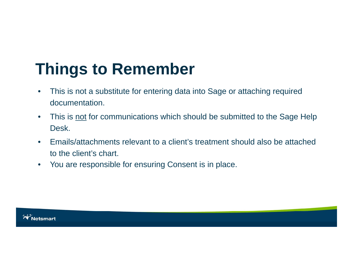# **Things to Remember**

- $\bullet$  This is not a substitute for entering data into Sage or attaching required documentation.
- $\bullet$ This is not for communications which should be submitted to the Sage Help Desk.
- $\bullet$  Emails/attachments relevant to a client's treatment should also be attached to the client's chart.
- $\bullet$ You are responsible for ensuring Consent is in place.